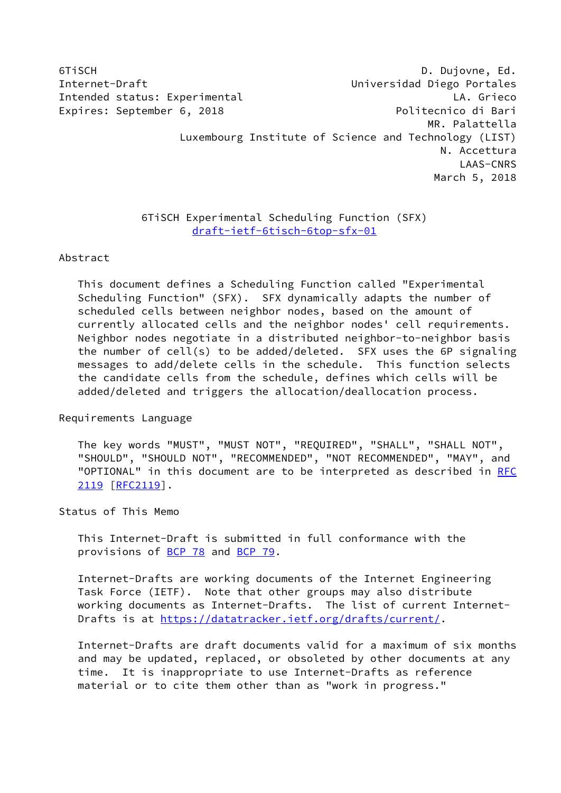6TiSCH D. Dujovne, Ed. Internet-Draft Universidad Diego Portales Intended status: Experimental LA. Grieco Expires: September 6, 2018 **Politecnico di Bari**  MR. Palattella Luxembourg Institute of Science and Technology (LIST) N. Accettura LAAS-CNRS March 5, 2018

# 6TiSCH Experimental Scheduling Function (SFX) [draft-ietf-6tisch-6top-sfx-01](https://datatracker.ietf.org/doc/pdf/draft-ietf-6tisch-6top-sfx-01)

### Abstract

 This document defines a Scheduling Function called "Experimental Scheduling Function" (SFX). SFX dynamically adapts the number of scheduled cells between neighbor nodes, based on the amount of currently allocated cells and the neighbor nodes' cell requirements. Neighbor nodes negotiate in a distributed neighbor-to-neighbor basis the number of cell(s) to be added/deleted. SFX uses the 6P signaling messages to add/delete cells in the schedule. This function selects the candidate cells from the schedule, defines which cells will be added/deleted and triggers the allocation/deallocation process.

Requirements Language

 The key words "MUST", "MUST NOT", "REQUIRED", "SHALL", "SHALL NOT", "SHOULD", "SHOULD NOT", "RECOMMENDED", "NOT RECOMMENDED", "MAY", and "OPTIONAL" in this document are to be interpreted as described in [RFC](https://datatracker.ietf.org/doc/pdf/rfc2119) [2119](https://datatracker.ietf.org/doc/pdf/rfc2119) [\[RFC2119](https://datatracker.ietf.org/doc/pdf/rfc2119)].

Status of This Memo

 This Internet-Draft is submitted in full conformance with the provisions of <u>BCP 78</u> and **BCP 79.** 

 Internet-Drafts are working documents of the Internet Engineering Task Force (IETF). Note that other groups may also distribute working documents as Internet-Drafts. The list of current Internet- Drafts is at<https://datatracker.ietf.org/drafts/current/>.

 Internet-Drafts are draft documents valid for a maximum of six months and may be updated, replaced, or obsoleted by other documents at any time. It is inappropriate to use Internet-Drafts as reference material or to cite them other than as "work in progress."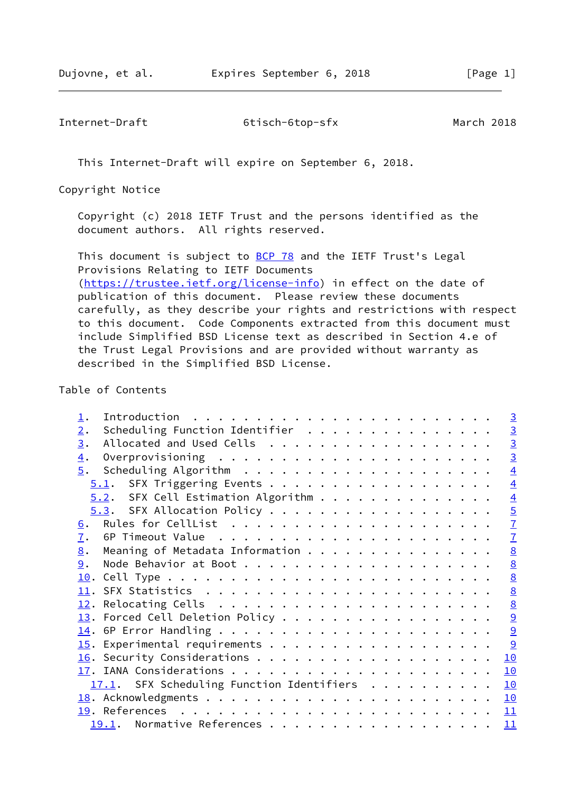This Internet-Draft will expire on September 6, 2018.

Copyright Notice

 Copyright (c) 2018 IETF Trust and the persons identified as the document authors. All rights reserved.

This document is subject to **[BCP 78](https://datatracker.ietf.org/doc/pdf/bcp78)** and the IETF Trust's Legal Provisions Relating to IETF Documents [\(https://trustee.ietf.org/license-info](https://trustee.ietf.org/license-info)) in effect on the date of publication of this document. Please review these documents carefully, as they describe your rights and restrictions with respect to this document. Code Components extracted from this document must include Simplified BSD License text as described in Section 4.e of the Trust Legal Provisions and are provided without warranty as described in the Simplified BSD License.

### Table of Contents

|                                           | $\overline{3}$  |
|-------------------------------------------|-----------------|
| Scheduling Function Identifier<br>2.      | $\overline{3}$  |
| 3.                                        | $\overline{3}$  |
| $\overline{4}$ .                          | $\overline{3}$  |
| 5.                                        | $\overline{4}$  |
| $5.1$ . SFX Triggering Events             | $\overline{4}$  |
| $5.2.$ SFX Cell Estimation Algorithm      | $\overline{4}$  |
|                                           | $\overline{5}$  |
| 6.                                        | $\overline{1}$  |
| 7.                                        | $\overline{1}$  |
| Meaning of Metadata Information<br>8.     | $\underline{8}$ |
| 9.                                        | $\underline{8}$ |
|                                           |                 |
|                                           | $\frac{8}{8}$   |
|                                           | $\underline{8}$ |
|                                           | $\overline{9}$  |
|                                           | 9               |
|                                           | 9               |
|                                           | 10              |
|                                           | 10              |
| 17.1. SFX Scheduling Function Identifiers | 10              |
|                                           | 10              |
|                                           | 11              |
| 19.1. Normative References                | 11              |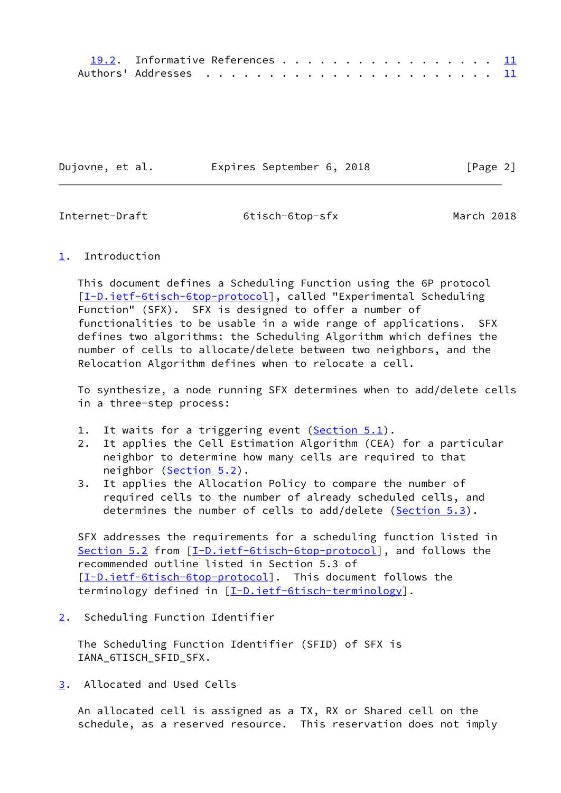| 19.2. Informative References 11 |  |  |  |  |  |  |  |  |
|---------------------------------|--|--|--|--|--|--|--|--|
|                                 |  |  |  |  |  |  |  |  |

| Dujovne, et al. | Expires September 6, 2018 | [Page 2] |
|-----------------|---------------------------|----------|
|                 |                           |          |

<span id="page-2-1"></span>

## <span id="page-2-0"></span>[1](#page-2-0). Introduction

 This document defines a Scheduling Function using the 6P protocol [\[I-D.ietf-6tisch-6top-protocol](#page-11-5)], called "Experimental Scheduling Function" (SFX). SFX is designed to offer a number of functionalities to be usable in a wide range of applications. SFX defines two algorithms: the Scheduling Algorithm which defines the number of cells to allocate/delete between two neighbors, and the Relocation Algorithm defines when to relocate a cell.

 To synthesize, a node running SFX determines when to add/delete cells in a three-step process:

- 1. It waits for a triggering event  $(Section 5.1)$  $(Section 5.1)$ .
- 2. It applies the Cell Estimation Algorithm (CEA) for a particular neighbor to determine how many cells are required to that neighbor [\(Section 5.2](#page-3-4)).
- 3. It applies the Allocation Policy to compare the number of required cells to the number of already scheduled cells, and determines the number of cells to add/delete [\(Section 5.3](#page-5-0)).

 SFX addresses the requirements for a scheduling function listed in [Section 5.2](#page-3-4) from [\[I-D.ietf-6tisch-6top-protocol\]](#page-11-5), and follows the recommended outline listed in Section 5.3 of [\[I-D.ietf-6tisch-6top-protocol](#page-11-5)]. This document follows the terminology defined in [\[I-D.ietf-6tisch-terminology](#page-12-0)].

<span id="page-2-2"></span>[2](#page-2-2). Scheduling Function Identifier

 The Scheduling Function Identifier (SFID) of SFX is IANA\_6TISCH\_SFID\_SFX.

<span id="page-2-3"></span>[3](#page-2-3). Allocated and Used Cells

 An allocated cell is assigned as a TX, RX or Shared cell on the schedule, as a reserved resource. This reservation does not imply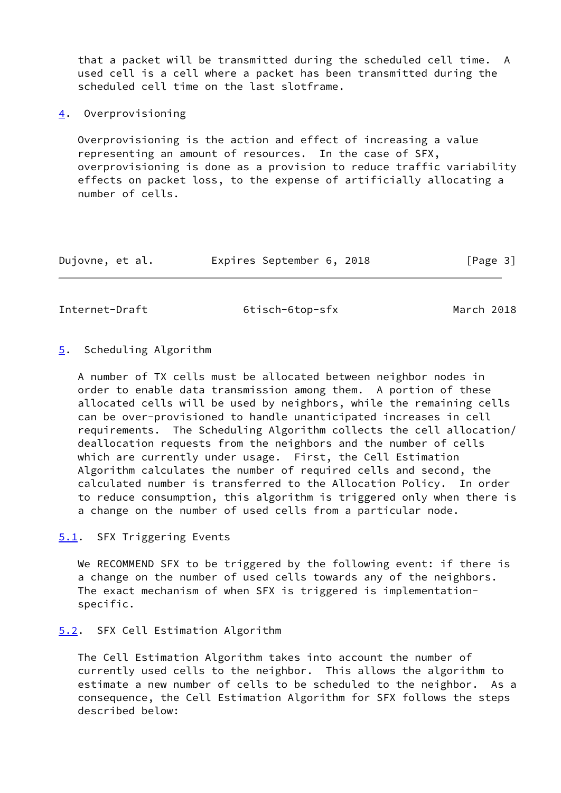that a packet will be transmitted during the scheduled cell time. A used cell is a cell where a packet has been transmitted during the scheduled cell time on the last slotframe.

<span id="page-3-0"></span>[4](#page-3-0). Overprovisioning

 Overprovisioning is the action and effect of increasing a value representing an amount of resources. In the case of SFX, overprovisioning is done as a provision to reduce traffic variability effects on packet loss, to the expense of artificially allocating a number of cells.

| Dujovne, et al. | Expires September 6, 2018 |  | [Page 3] |
|-----------------|---------------------------|--|----------|
|-----------------|---------------------------|--|----------|

<span id="page-3-2"></span>Internet-Draft 6tisch-6top-sfx March 2018

### <span id="page-3-1"></span>[5](#page-3-1). Scheduling Algorithm

 A number of TX cells must be allocated between neighbor nodes in order to enable data transmission among them. A portion of these allocated cells will be used by neighbors, while the remaining cells can be over-provisioned to handle unanticipated increases in cell requirements. The Scheduling Algorithm collects the cell allocation/ deallocation requests from the neighbors and the number of cells which are currently under usage. First, the Cell Estimation Algorithm calculates the number of required cells and second, the calculated number is transferred to the Allocation Policy. In order to reduce consumption, this algorithm is triggered only when there is a change on the number of used cells from a particular node.

<span id="page-3-3"></span>[5.1](#page-3-3). SFX Triggering Events

We RECOMMEND SFX to be triggered by the following event: if there is a change on the number of used cells towards any of the neighbors. The exact mechanism of when SFX is triggered is implementation specific.

<span id="page-3-4"></span>[5.2](#page-3-4). SFX Cell Estimation Algorithm

 The Cell Estimation Algorithm takes into account the number of currently used cells to the neighbor. This allows the algorithm to estimate a new number of cells to be scheduled to the neighbor. As a consequence, the Cell Estimation Algorithm for SFX follows the steps described below: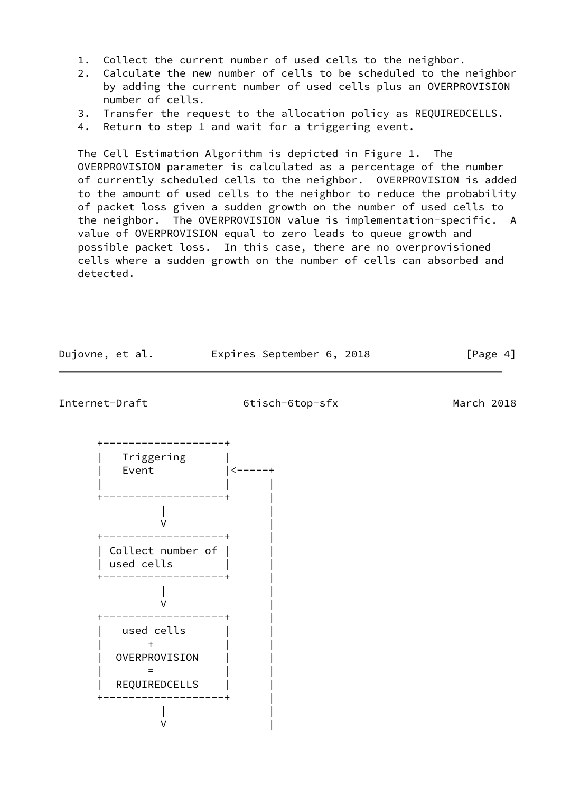- 1. Collect the current number of used cells to the neighbor.
- 2. Calculate the new number of cells to be scheduled to the neighbor by adding the current number of used cells plus an OVERPROVISION number of cells.
- 3. Transfer the request to the allocation policy as REQUIREDCELLS.
- 4. Return to step 1 and wait for a triggering event.

 The Cell Estimation Algorithm is depicted in Figure 1. The OVERPROVISION parameter is calculated as a percentage of the number of currently scheduled cells to the neighbor. OVERPROVISION is added to the amount of used cells to the neighbor to reduce the probability of packet loss given a sudden growth on the number of used cells to the neighbor. The OVERPROVISION value is implementation-specific. A value of OVERPROVISION equal to zero leads to queue growth and possible packet loss. In this case, there are no overprovisioned cells where a sudden growth on the number of cells can absorbed and detected.

Dujovne, et al. Expires September 6, 2018 [Page 4]

<span id="page-4-0"></span>Internet-Draft 6tisch-6top-sfx March 2018

| Triggering<br>Event                          |  |
|----------------------------------------------|--|
|                                              |  |
| Collect number of<br>used cells              |  |
|                                              |  |
| used cells<br>OVERPROVISION<br>REQUIREDCELLS |  |
|                                              |  |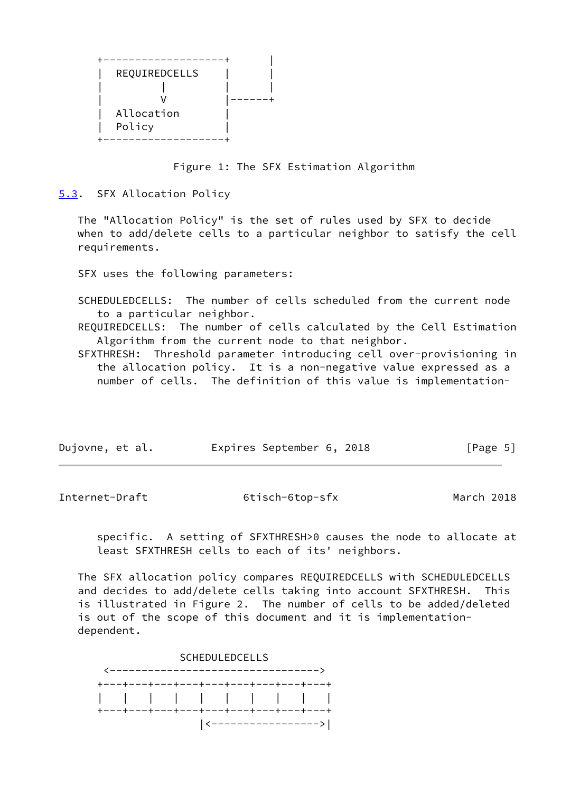| REQUIREDCELLS |  |
|---------------|--|
|               |  |
|               |  |
| Allocation    |  |
| Policy        |  |
|               |  |

Figure 1: The SFX Estimation Algorithm

<span id="page-5-0"></span>[5.3](#page-5-0). SFX Allocation Policy

 The "Allocation Policy" is the set of rules used by SFX to decide when to add/delete cells to a particular neighbor to satisfy the cell requirements.

SFX uses the following parameters:

 SCHEDULEDCELLS: The number of cells scheduled from the current node to a particular neighbor.

 REQUIREDCELLS: The number of cells calculated by the Cell Estimation Algorithm from the current node to that neighbor.

 SFXTHRESH: Threshold parameter introducing cell over-provisioning in the allocation policy. It is a non-negative value expressed as a number of cells. The definition of this value is implementation-

| Dujovne, et al. | Expires September 6, 2018 |  |  | [Page 5] |
|-----------------|---------------------------|--|--|----------|
|-----------------|---------------------------|--|--|----------|

Internet-Draft 6tisch-6top-sfx March 2018

 specific. A setting of SFXTHRESH>0 causes the node to allocate at least SFXTHRESH cells to each of its' neighbors.

 The SFX allocation policy compares REQUIREDCELLS with SCHEDULEDCELLS and decides to add/delete cells taking into account SFXTHRESH. This is illustrated in Figure 2. The number of cells to be added/deleted is out of the scope of this document and it is implementation dependent.

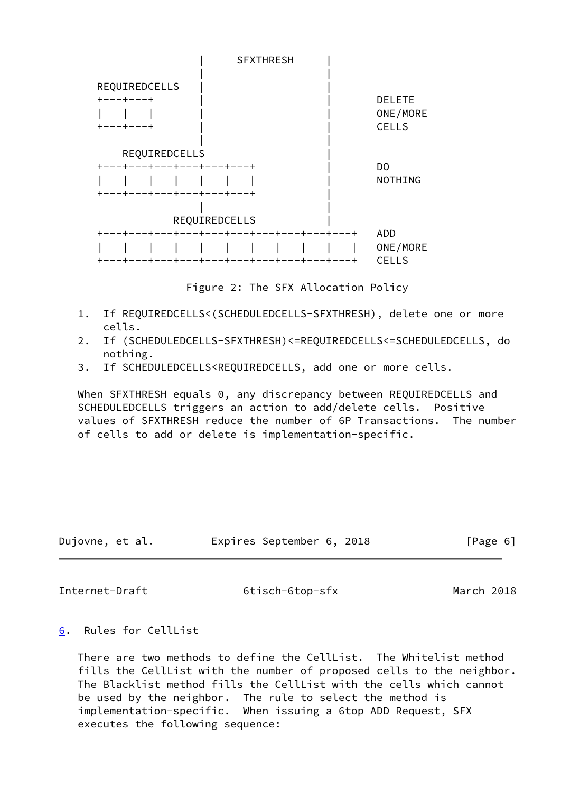

Figure 2: The SFX Allocation Policy

- 1. If REQUIREDCELLS<(SCHEDULEDCELLS-SFXTHRESH), delete one or more cells.
- 2. If (SCHEDULEDCELLS-SFXTHRESH)<=REQUIREDCELLS<=SCHEDULEDCELLS, do nothing.
- 3. If SCHEDULEDCELLS<REQUIREDCELLS, add one or more cells.

 When SFXTHRESH equals 0, any discrepancy between REQUIREDCELLS and SCHEDULEDCELLS triggers an action to add/delete cells. Positive values of SFXTHRESH reduce the number of 6P Transactions. The number of cells to add or delete is implementation-specific.

| Dujovne, et al. |  | Expires September 6, 2018 |  |  | [Page 6] |  |
|-----------------|--|---------------------------|--|--|----------|--|
|-----------------|--|---------------------------|--|--|----------|--|

<span id="page-6-1"></span>Internet-Draft 6tisch-6top-sfx March 2018

# <span id="page-6-0"></span>[6](#page-6-0). Rules for CellList

 There are two methods to define the CellList. The Whitelist method fills the CellList with the number of proposed cells to the neighbor. The Blacklist method fills the CellList with the cells which cannot be used by the neighbor. The rule to select the method is implementation-specific. When issuing a 6top ADD Request, SFX executes the following sequence: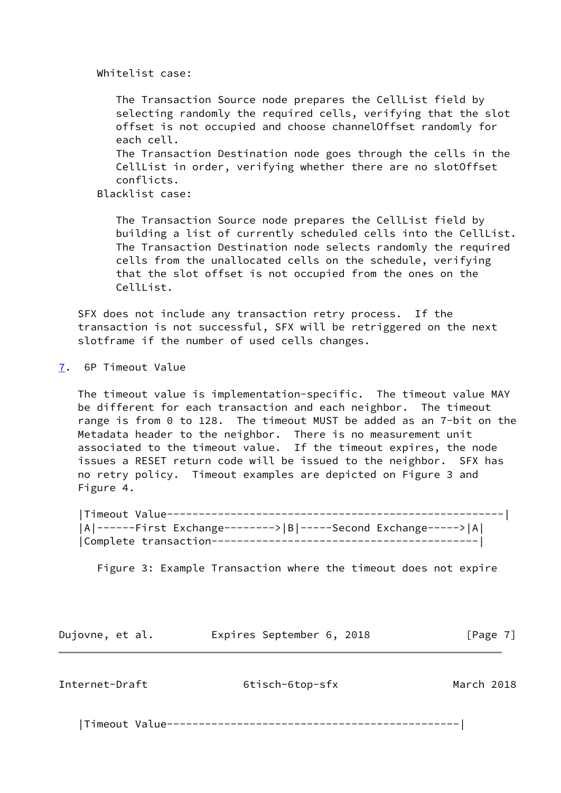Whitelist case:

 The Transaction Source node prepares the CellList field by selecting randomly the required cells, verifying that the slot offset is not occupied and choose channelOffset randomly for each cell.

 The Transaction Destination node goes through the cells in the CellList in order, verifying whether there are no slotOffset conflicts.

Blacklist case:

 The Transaction Source node prepares the CellList field by building a list of currently scheduled cells into the CellList. The Transaction Destination node selects randomly the required cells from the unallocated cells on the schedule, verifying that the slot offset is not occupied from the ones on the CellList.

 SFX does not include any transaction retry process. If the transaction is not successful, SFX will be retriggered on the next slotframe if the number of used cells changes.

<span id="page-7-0"></span>[7](#page-7-0). 6P Timeout Value

 The timeout value is implementation-specific. The timeout value MAY be different for each transaction and each neighbor. The timeout range is from 0 to 128. The timeout MUST be added as an 7-bit on the Metadata header to the neighbor. There is no measurement unit associated to the timeout value. If the timeout expires, the node issues a RESET return code will be issued to the neighbor. SFX has no retry policy. Timeout examples are depicted on Figure 3 and Figure 4.

 |Timeout Value-----------------------------------------------------| |A|------First Exchange-------->|B|-----Second Exchange----->|A| |Complete transaction------------------------------------------|

Figure 3: Example Transaction where the timeout does not expire

Dujovne, et al. Expires September 6, 2018 [Page 7]

<span id="page-7-1"></span>Internet-Draft 6tisch-6top-sfx March 2018

|Timeout Value----------------------------------------------|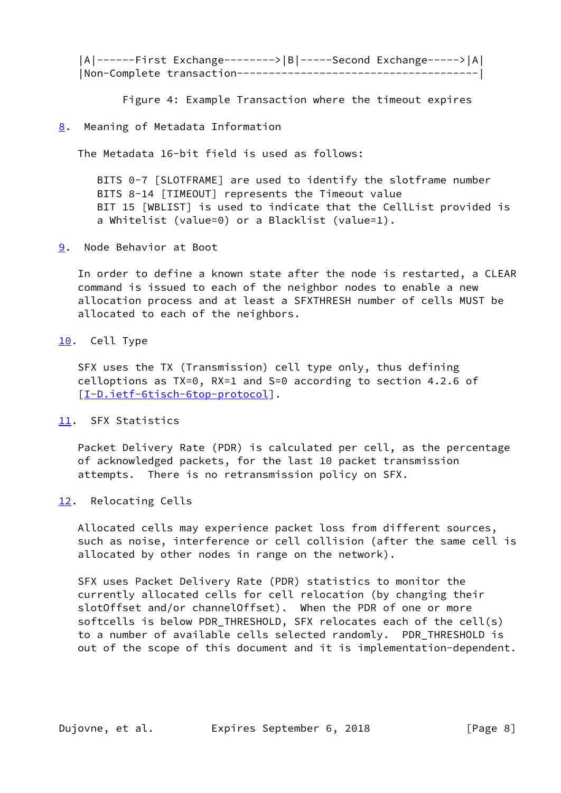|A|------First Exchange-------->|B|-----Second Exchange----->|A| |Non-Complete transaction--------------------------------------|

Figure 4: Example Transaction where the timeout expires

## <span id="page-8-0"></span>[8](#page-8-0). Meaning of Metadata Information

The Metadata 16-bit field is used as follows:

 BITS 0-7 [SLOTFRAME] are used to identify the slotframe number BITS 8-14 [TIMEOUT] represents the Timeout value BIT 15 [WBLIST] is used to indicate that the CellList provided is a Whitelist (value=0) or a Blacklist (value=1).

<span id="page-8-1"></span>[9](#page-8-1). Node Behavior at Boot

 In order to define a known state after the node is restarted, a CLEAR command is issued to each of the neighbor nodes to enable a new allocation process and at least a SFXTHRESH number of cells MUST be allocated to each of the neighbors.

<span id="page-8-2"></span>[10.](#page-8-2) Cell Type

 SFX uses the TX (Transmission) cell type only, thus defining celloptions as TX=0, RX=1 and S=0 according to section 4.2.6 of [\[I-D.ietf-6tisch-6top-protocol](#page-11-5)].

<span id="page-8-3"></span>[11.](#page-8-3) SFX Statistics

 Packet Delivery Rate (PDR) is calculated per cell, as the percentage of acknowledged packets, for the last 10 packet transmission attempts. There is no retransmission policy on SFX.

<span id="page-8-4"></span>[12.](#page-8-4) Relocating Cells

 Allocated cells may experience packet loss from different sources, such as noise, interference or cell collision (after the same cell is allocated by other nodes in range on the network).

 SFX uses Packet Delivery Rate (PDR) statistics to monitor the currently allocated cells for cell relocation (by changing their slotOffset and/or channelOffset). When the PDR of one or more softcells is below PDR\_THRESHOLD, SFX relocates each of the cell(s) to a number of available cells selected randomly. PDR\_THRESHOLD is out of the scope of this document and it is implementation-dependent.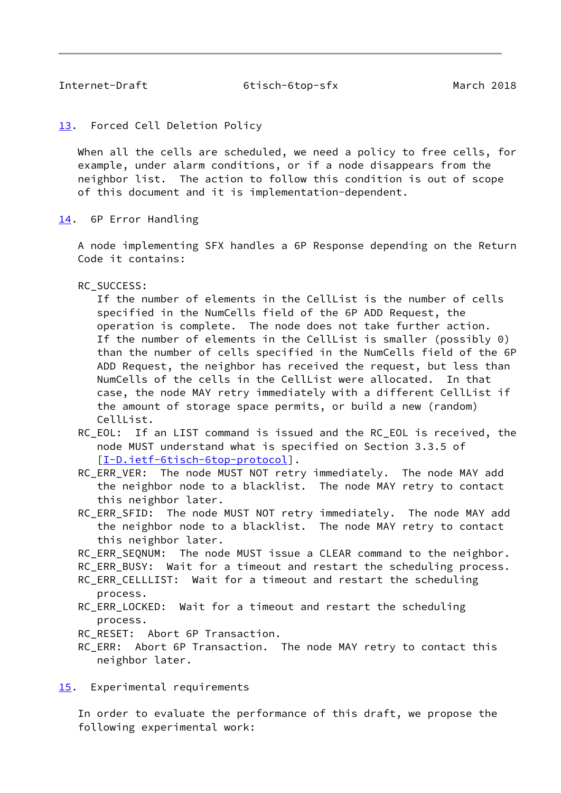<span id="page-9-1"></span>

## <span id="page-9-0"></span>[13.](#page-9-0) Forced Cell Deletion Policy

 When all the cells are scheduled, we need a policy to free cells, for example, under alarm conditions, or if a node disappears from the neighbor list. The action to follow this condition is out of scope of this document and it is implementation-dependent.

<span id="page-9-2"></span>[14.](#page-9-2) 6P Error Handling

 A node implementing SFX handles a 6P Response depending on the Return Code it contains:

RC\_SUCCESS:

 If the number of elements in the CellList is the number of cells specified in the NumCells field of the 6P ADD Request, the operation is complete. The node does not take further action. If the number of elements in the CellList is smaller (possibly 0) than the number of cells specified in the NumCells field of the 6P ADD Request, the neighbor has received the request, but less than NumCells of the cells in the CellList were allocated. In that case, the node MAY retry immediately with a different CellList if the amount of storage space permits, or build a new (random) CellList.

- RC EOL: If an LIST command is issued and the RC EOL is received, the node MUST understand what is specified on Section 3.3.5 of [[I-D.ietf-6tisch-6top-protocol\]](#page-11-5).
- RC\_ERR\_VER: The node MUST NOT retry immediately. The node MAY add the neighbor node to a blacklist. The node MAY retry to contact this neighbor later.
- RC\_ERR\_SFID: The node MUST NOT retry immediately. The node MAY add the neighbor node to a blacklist. The node MAY retry to contact this neighbor later.
- RC\_ERR\_SEQNUM: The node MUST issue a CLEAR command to the neighbor.
- RC\_ERR\_BUSY: Wait for a timeout and restart the scheduling process.
- RC\_ERR\_CELLLIST: Wait for a timeout and restart the scheduling process.
- RC\_ERR\_LOCKED: Wait for a timeout and restart the scheduling process.
- RC RESET: Abort 6P Transaction.
- RC\_ERR: Abort 6P Transaction. The node MAY retry to contact this neighbor later.

<span id="page-9-3"></span>[15.](#page-9-3) Experimental requirements

 In order to evaluate the performance of this draft, we propose the following experimental work: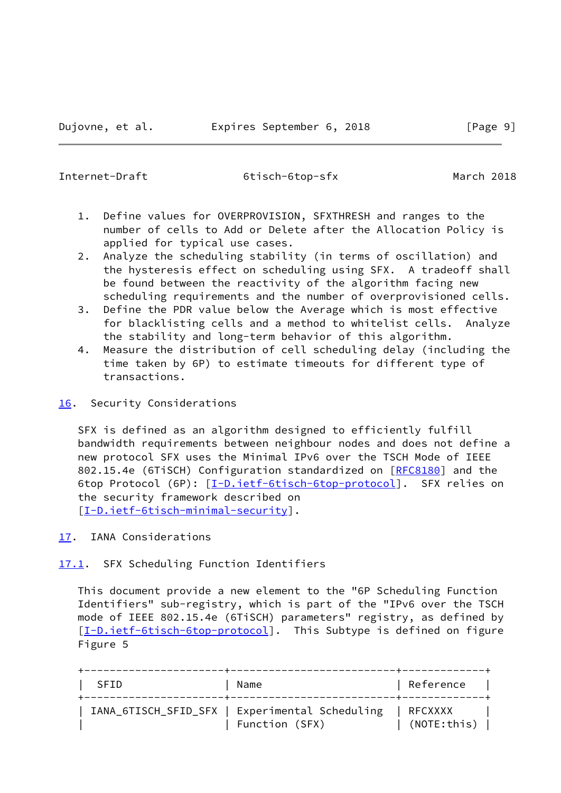<span id="page-10-1"></span>

- 1. Define values for OVERPROVISION, SFXTHRESH and ranges to the number of cells to Add or Delete after the Allocation Policy is applied for typical use cases.
- 2. Analyze the scheduling stability (in terms of oscillation) and the hysteresis effect on scheduling using SFX. A tradeoff shall be found between the reactivity of the algorithm facing new scheduling requirements and the number of overprovisioned cells.
- 3. Define the PDR value below the Average which is most effective for blacklisting cells and a method to whitelist cells. Analyze the stability and long-term behavior of this algorithm.
- 4. Measure the distribution of cell scheduling delay (including the time taken by 6P) to estimate timeouts for different type of transactions.
- <span id="page-10-0"></span>[16.](#page-10-0) Security Considerations

 SFX is defined as an algorithm designed to efficiently fulfill bandwidth requirements between neighbour nodes and does not define a new protocol SFX uses the Minimal IPv6 over the TSCH Mode of IEEE 802.15.4e (6TiSCH) Configuration standardized on [\[RFC8180](https://datatracker.ietf.org/doc/pdf/rfc8180)] and the 6top Protocol (6P): [\[I-D.ietf-6tisch-6top-protocol](#page-11-5)]. SFX relies on the security framework described on [\[I-D.ietf-6tisch-minimal-security](#page-11-6)].

<span id="page-10-2"></span>[17.](#page-10-2) IANA Considerations

<span id="page-10-3"></span>[17.1](#page-10-3). SFX Scheduling Function Identifiers

 This document provide a new element to the "6P Scheduling Function Identifiers" sub-registry, which is part of the "IPv6 over the TSCH mode of IEEE 802.15.4e (6TiSCH) parameters" registry, as defined by [\[I-D.ietf-6tisch-6top-protocol](#page-11-5)]. This Subtype is defined on figure Figure 5

| SFID | Name                                                             | Reference                 |  |
|------|------------------------------------------------------------------|---------------------------|--|
|      | IANA_6TISCH_SFID_SFX   Experimental Scheduling<br>Function (SFX) | I RFCXXXX<br>(NOTE: this) |  |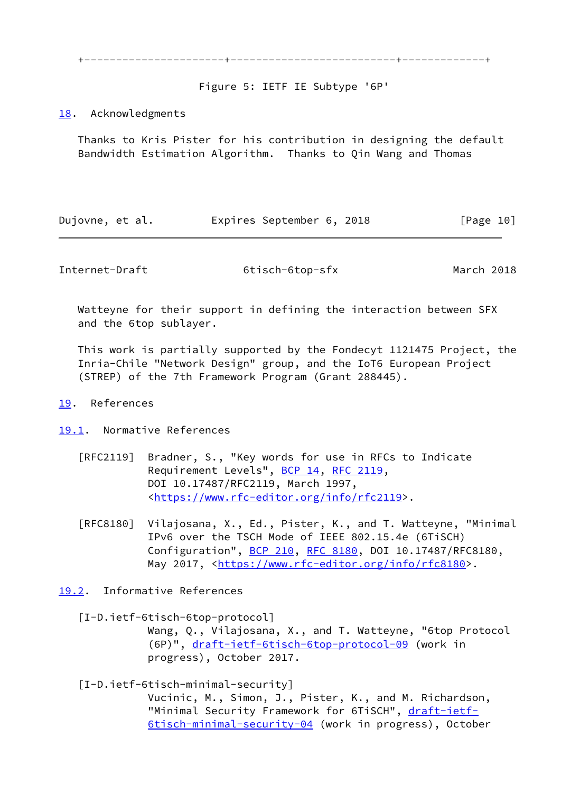+----------------------+--------------------------+-------------+

Figure 5: IETF IE Subtype '6P'

## <span id="page-11-0"></span>[18.](#page-11-0) Acknowledgments

 Thanks to Kris Pister for his contribution in designing the default Bandwidth Estimation Algorithm. Thanks to Qin Wang and Thomas

| Dujovne, et al. | Expires September 6, 2018 |  | [Page 10] |
|-----------------|---------------------------|--|-----------|
|-----------------|---------------------------|--|-----------|

<span id="page-11-2"></span>Internet-Draft 6tisch-6top-sfx March 2018

 Watteyne for their support in defining the interaction between SFX and the 6top sublayer.

 This work is partially supported by the Fondecyt 1121475 Project, the Inria-Chile "Network Design" group, and the IoT6 European Project (STREP) of the 7th Framework Program (Grant 288445).

## <span id="page-11-1"></span>[19.](#page-11-1) References

<span id="page-11-3"></span>[19.1](#page-11-3). Normative References

- [RFC2119] Bradner, S., "Key words for use in RFCs to Indicate Requirement Levels", [BCP 14](https://datatracker.ietf.org/doc/pdf/bcp14), [RFC 2119](https://datatracker.ietf.org/doc/pdf/rfc2119), DOI 10.17487/RFC2119, March 1997, <[https://www.rfc-editor.org/info/rfc2119>](https://www.rfc-editor.org/info/rfc2119).
- [RFC8180] Vilajosana, X., Ed., Pister, K., and T. Watteyne, "Minimal IPv6 over the TSCH Mode of IEEE 802.15.4e (6TiSCH) Configuration", [BCP 210](https://datatracker.ietf.org/doc/pdf/bcp210), [RFC 8180,](https://datatracker.ietf.org/doc/pdf/rfc8180) DOI 10.17487/RFC8180, May 2017, [<https://www.rfc-editor.org/info/rfc8180](https://www.rfc-editor.org/info/rfc8180)>.
- <span id="page-11-4"></span>[19.2](#page-11-4). Informative References

<span id="page-11-5"></span> [I-D.ietf-6tisch-6top-protocol] Wang, Q., Vilajosana, X., and T. Watteyne, "6top Protocol (6P)", [draft-ietf-6tisch-6top-protocol-09](https://datatracker.ietf.org/doc/pdf/draft-ietf-6tisch-6top-protocol-09) (work in progress), October 2017.

<span id="page-11-6"></span>[I-D.ietf-6tisch-minimal-security]

 Vucinic, M., Simon, J., Pister, K., and M. Richardson, "Minimal Security Framework for 6TiSCH", [draft-ietf-](https://datatracker.ietf.org/doc/pdf/draft-ietf-6tisch-minimal-security-04)[6tisch-minimal-security-04](https://datatracker.ietf.org/doc/pdf/draft-ietf-6tisch-minimal-security-04) (work in progress), October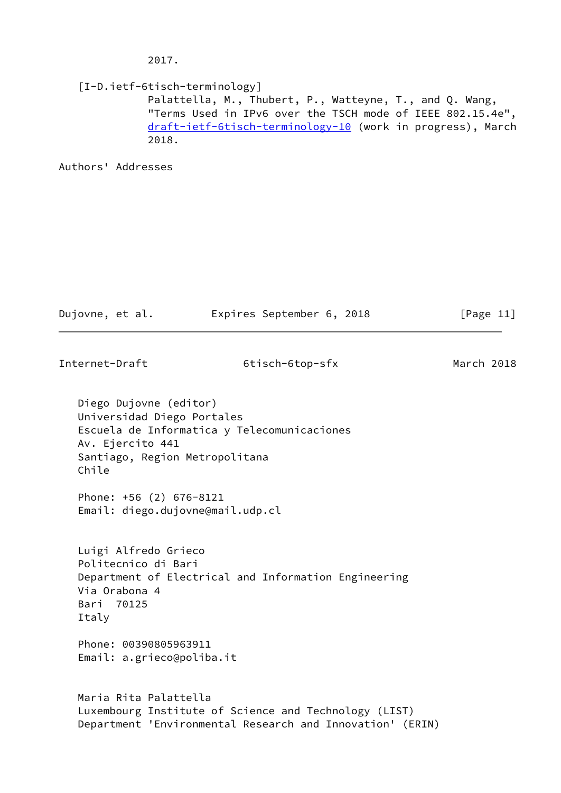2017.

<span id="page-12-0"></span> [I-D.ietf-6tisch-terminology] Palattella, M., Thubert, P., Watteyne, T., and Q. Wang, "Terms Used in IPv6 over the TSCH mode of IEEE 802.15.4e", [draft-ietf-6tisch-terminology-10](https://datatracker.ietf.org/doc/pdf/draft-ietf-6tisch-terminology-10) (work in progress), March 2018.

Authors' Addresses

| Dujovne, et al.                                                                                                     | Expires September 6, 2018                             | [Page $11$ ] |
|---------------------------------------------------------------------------------------------------------------------|-------------------------------------------------------|--------------|
| Internet-Draft                                                                                                      | 6tisch-6top-sfx                                       | March 2018   |
| Diego Dujovne (editor)<br>Universidad Diego Portales<br>Av. Ejercito 441<br>Santiago, Region Metropolitana<br>Chile | Escuela de Informatica y Telecomunicaciones           |              |
| Phone: +56 (2) 676-8121<br>Email: diego.dujovne@mail.udp.cl                                                         |                                                       |              |
| Luigi Alfredo Grieco<br>Politecnico di Bari<br>Via Orabona 4<br>Bari 70125<br>Italy                                 | Department of Electrical and Information Engineering  |              |
| Phone: 00390805963911<br>Email: a.grieco@poliba.it                                                                  |                                                       |              |
| Maria Rita Palattella                                                                                               | Luxembourg Institute of Science and Technology (LIST) |              |

Department 'Environmental Research and Innovation' (ERIN)